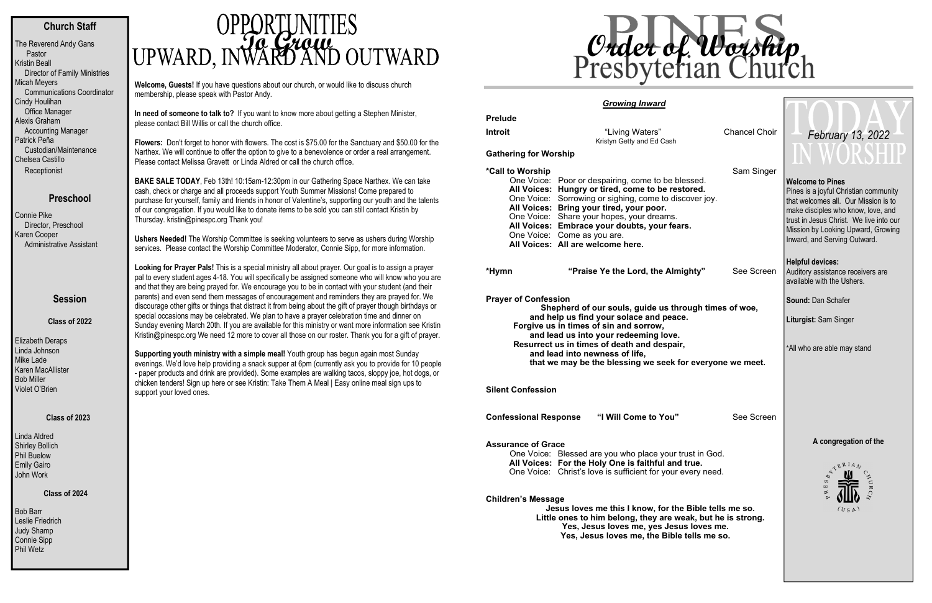# **Church Staff**

| The Reverend Andy Gans<br>Pastor     |
|--------------------------------------|
| Kristin Beall                        |
| <b>Director of Family Ministries</b> |
| <b>Micah Meyers</b>                  |
| <b>Communications Coordinator</b>    |
| Cindy Houlihan                       |
| <b>Office Manager</b>                |
| Alexis Graham                        |
| <b>Accounting Manager</b>            |
| Patrick Peña                         |
| Custodian/Maintenance                |
| Chelsea Castillo                     |
| Receptionist                         |

# **Preschool**

Bob Barr Leslie Friedrich Judy Shamp Connie Sipp Phil Wetz

Connie Pike Director, Preschool Karen Cooper Administrative Assistant

# **To**a *Grow*

## **Session**

**Class of 2022** 

Elizabeth Deraps Linda Johnson Mike Lade Karen MacAllister Bob Miller Violet O'Brien

### **Class of 2023**

Linda Aldred Shirley Bollich Phil Buelow Emily Gairo John Work

### **Class of 2024**

**Welcome, Guests!** If you have questions about our church, or would like to discuss church membership, please speak with Pastor Andy.

**In need of someone to talk to?** If you want to know more about getting a Stephen Minister, please contact Bill Willis or call the church office.

**Flowers:** Don't forget to honor with flowers. The cost is \$75.00 for the Sanctuary and \$50.00 for the Narthex. We will continue to offer the option to give to a benevolence or order a real arrangement. Please contact Melissa Gravett or Linda Aldred or call the church office.

**BAKE SALE TODAY**, Feb 13th! 10:15am-12:30pm in our Gathering Space Narthex. We can take cash, check or charge and all proceeds support Youth Summer Missions! Come prepared to purchase for yourself, family and friends in honor of Valentine's, supporting our youth and the talents of our congregation. If you would like to donate items to be sold you can still contact Kristin by Thursday. kristin@pinespc.org Thank you!

**Ushers Needed!** The Worship Committee is seeking volunteers to serve as ushers during Worship services. Please contact the Worship Committee Moderator, Connie Sipp, for more information.

**Looking for Prayer Pals!** This is a special ministry all about prayer. Our goal is to assign a prayer pal to every student ages 4-18. You will specifically be assigned someone who will know who you are and that they are being prayed for. We encourage you to be in contact with your student (and their parents) and even send them messages of encouragement and reminders they are prayed for. We discourage other gifts or things that distract it from being about the gift of prayer though birthdays or special occasions may be celebrated. We plan to have a prayer celebration time and dinner on Sunday evening March 20th. If you are available for this ministry or want more information see Kristin Kristin@pinespc.org We need 12 more to cover all those on our roster. Thank you for a gift of prayer.

**Supporting youth ministry with a simple meal!** Youth group has begun again most Sunday evenings. We'd love help providing a snack supper at 6pm (currently ask you to provide for 10 people - paper products and drink are provided). Some examples are walking tacos, sloppy joe, hot dogs, or chicken tenders! Sign up here or see Kristin: Take Them A Meal | Easy online meal sign ups to support your loved ones.

# *Growing Inward*

| <b>Prelude</b>               |                                                                                                                                                                                                                                                                                                                                                                                |                      |  |  |
|------------------------------|--------------------------------------------------------------------------------------------------------------------------------------------------------------------------------------------------------------------------------------------------------------------------------------------------------------------------------------------------------------------------------|----------------------|--|--|
| Introit                      | "Living Waters"<br>Kristyn Getty and Ed Cash                                                                                                                                                                                                                                                                                                                                   | <b>Chancel Choir</b> |  |  |
| <b>Gathering for Worship</b> |                                                                                                                                                                                                                                                                                                                                                                                |                      |  |  |
| *Call to Worship             | One Voice: Poor or despairing, come to be blessed.<br>All Voices: Hungry or tired, come to be restored.<br>One Voice: Sorrowing or sighing, come to discover joy.<br>All Voices: Bring your tired, your poor.<br>One Voice: Share your hopes, your dreams.<br>All Voices: Embrace your doubts, your fears.<br>One Voice: Come as you are.<br>All Voices: All are welcome here. | Sam Singer           |  |  |
| *Hymn                        | "Praise Ye the Lord, the Almighty"                                                                                                                                                                                                                                                                                                                                             | See Screen           |  |  |
| <b>Prayer of Confession</b>  | Shepherd of our souls, guide us through times of woe,<br>and help us find your solace and peace.<br>Forgive us in times of sin and sorrow,<br>and lead us into your redeeming love.<br>Resurrect us in times of death and despair,<br>and lead into newness of life,<br>that we may be the blessing we seek for everyone we meet.                                              |                      |  |  |

**Silent Confession** 

**Confessional Response "I Will Come to You"** 

### **Assurance of Grace**

One Voice: Blessed are you who place your trust **All Voices: For the Holy One is faithful and tra** One Voice: Christ's love is sufficient for your ever

### **Children's Message**

**Jesus loves me this I know, for the E** Little ones to him belong, they are weak Yes, Jesus loves me, yes Jesus Yes, Jesus loves me, the Bible te

| Chancel Choir                                                           |  | February 13, 2022<br>WORSHI                                                                                                                                                                                                                                     |
|-------------------------------------------------------------------------|--|-----------------------------------------------------------------------------------------------------------------------------------------------------------------------------------------------------------------------------------------------------------------|
| Sam Singer                                                              |  |                                                                                                                                                                                                                                                                 |
| ssed.<br>›red.<br>over joy.                                             |  | <b>Welcome to Pines</b><br>Pines is a joyful Christian community<br>that welcomes all. Our Mission is to<br>make disciples who know, love, and<br>trust in Jesus Christ. We live into our<br>Mission by Looking Upward, Growing<br>Inward, and Serving Outward. |
|                                                                         |  | <b>Helpful devices:</b>                                                                                                                                                                                                                                         |
| See Screen<br>hty"                                                      |  | Auditory assistance receivers are<br>available with the Ushers.                                                                                                                                                                                                 |
| ugh times of woe,                                                       |  | <b>Sound: Dan Schafer</b>                                                                                                                                                                                                                                       |
|                                                                         |  | Liturgist: Sam Singer                                                                                                                                                                                                                                           |
| everyone we meet.                                                       |  | *All who are able may stand                                                                                                                                                                                                                                     |
| See Screen                                                              |  |                                                                                                                                                                                                                                                                 |
|                                                                         |  | A congregation of the                                                                                                                                                                                                                                           |
| ∣st in God.<br>rue.<br>ery need.                                        |  | <b>KERIAN</b><br>S<br>щ<br>ø                                                                                                                                                                                                                                    |
| Bible tells me so.<br>ak, but he is strong.<br>loves me.<br>ells me so. |  | (USA)                                                                                                                                                                                                                                                           |